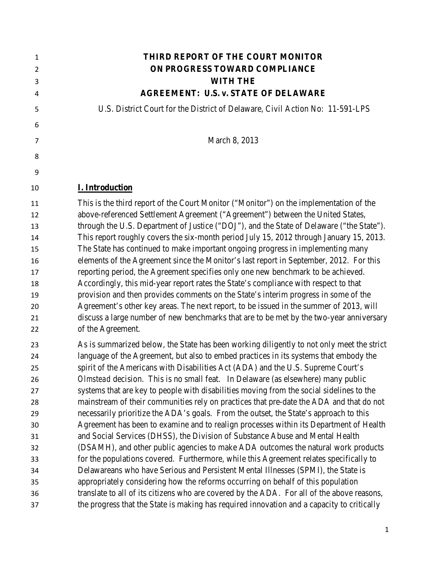| 1              | THIRD REPORT OF THE COURT MONITOR                                                          |
|----------------|--------------------------------------------------------------------------------------------|
| $\overline{2}$ | ON PROGRESS TOWARD COMPLIANCE                                                              |
| 3              | <b>WITH THE</b>                                                                            |
| 4              | <b>AGREEMENT: U.S. v. STATE OF DELAWARE</b>                                                |
| 5              | U.S. District Court for the District of Delaware, Civil Action No: 11-591-LPS              |
| 6              |                                                                                            |
| 7              | March 8, 2013                                                                              |
| 8              |                                                                                            |
| 9              |                                                                                            |
| 10             | <b>I. Introduction</b>                                                                     |
| 11             | This is the third report of the Court Monitor ("Monitor") on the implementation of the     |
| 12             | above-referenced Settlement Agreement ("Agreement") between the United States,             |
| 13             | through the U.S. Department of Justice ("DOJ"), and the State of Delaware ("the State").   |
| 14             | This report roughly covers the six-month period July 15, 2012 through January 15, 2013.    |
| 15             | The State has continued to make important ongoing progress in implementing many            |
| 16             | elements of the Agreement since the Monitor's last report in September, 2012. For this     |
| 17             | reporting period, the Agreement specifies only one new benchmark to be achieved.           |
| 18             | Accordingly, this mid-year report rates the State's compliance with respect to that        |
| 19             | provision and then provides comments on the State's interim progress in some of the        |
| 20             | Agreement's other key areas. The next report, to be issued in the summer of 2013, will     |
| 21             | discuss a large number of new benchmarks that are to be met by the two-year anniversary    |
| 22             | of the Agreement.                                                                          |
| 23             | As is summarized below, the State has been working diligently to not only meet the strict  |
| 24             | language of the Agreement, but also to embed practices in its systems that embody the      |
| 25             | spirit of the Americans with Disabilities Act (ADA) and the U.S. Supreme Court's           |
| 26             | Olmstead decision. This is no small feat. In Delaware (as elsewhere) many public           |
| 27             | systems that are key to people with disabilities moving from the social sidelines to the   |
| 28             | mainstream of their communities rely on practices that pre-date the ADA and that do not    |
| 29             | necessarily prioritize the ADA's goals. From the outset, the State's approach to this      |
| 30             | Agreement has been to examine and to realign processes within its Department of Health     |
| 31             | and Social Services (DHSS), the Division of Substance Abuse and Mental Health              |
| 32             | (DSAMH), and other public agencies to make ADA outcomes the natural work products          |
| 33             | for the populations covered. Furthermore, while this Agreement relates specifically to     |
| 34             | Delawareans who have Serious and Persistent Mental Illnesses (SPMI), the State is          |
| 35             | appropriately considering how the reforms occurring on behalf of this population           |
| 36             | translate to all of its citizens who are covered by the ADA. For all of the above reasons, |
| 37             | the progress that the State is making has required innovation and a capacity to critically |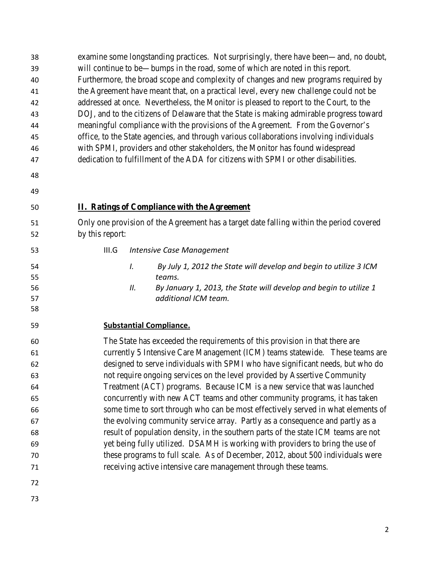| 38<br>39<br>40<br>41<br>42<br>43                                     | examine some longstanding practices. Not surprisingly, there have been—and, no doubt,<br>will continue to be—bumps in the road, some of which are noted in this report.<br>Furthermore, the broad scope and complexity of changes and new programs required by<br>the Agreement have meant that, on a practical level, every new challenge could not be<br>addressed at once. Nevertheless, the Monitor is pleased to report to the Court, to the<br>DOJ, and to the citizens of Delaware that the State is making admirable progress toward                                                                                                                                                                                                                                                                                                                                                                                                                                          |
|----------------------------------------------------------------------|---------------------------------------------------------------------------------------------------------------------------------------------------------------------------------------------------------------------------------------------------------------------------------------------------------------------------------------------------------------------------------------------------------------------------------------------------------------------------------------------------------------------------------------------------------------------------------------------------------------------------------------------------------------------------------------------------------------------------------------------------------------------------------------------------------------------------------------------------------------------------------------------------------------------------------------------------------------------------------------|
| 44                                                                   | meaningful compliance with the provisions of the Agreement. From the Governor's                                                                                                                                                                                                                                                                                                                                                                                                                                                                                                                                                                                                                                                                                                                                                                                                                                                                                                       |
| 45                                                                   | office, to the State agencies, and through various collaborations involving individuals                                                                                                                                                                                                                                                                                                                                                                                                                                                                                                                                                                                                                                                                                                                                                                                                                                                                                               |
| 46                                                                   | with SPMI, providers and other stakeholders, the Monitor has found widespread                                                                                                                                                                                                                                                                                                                                                                                                                                                                                                                                                                                                                                                                                                                                                                                                                                                                                                         |
| 47                                                                   | dedication to fulfillment of the ADA for citizens with SPMI or other disabilities.                                                                                                                                                                                                                                                                                                                                                                                                                                                                                                                                                                                                                                                                                                                                                                                                                                                                                                    |
| 48                                                                   |                                                                                                                                                                                                                                                                                                                                                                                                                                                                                                                                                                                                                                                                                                                                                                                                                                                                                                                                                                                       |
| 49                                                                   |                                                                                                                                                                                                                                                                                                                                                                                                                                                                                                                                                                                                                                                                                                                                                                                                                                                                                                                                                                                       |
| 50                                                                   | <b>II. Ratings of Compliance with the Agreement</b>                                                                                                                                                                                                                                                                                                                                                                                                                                                                                                                                                                                                                                                                                                                                                                                                                                                                                                                                   |
| 51<br>52                                                             | Only one provision of the Agreement has a target date falling within the period covered<br>by this report:                                                                                                                                                                                                                                                                                                                                                                                                                                                                                                                                                                                                                                                                                                                                                                                                                                                                            |
| 53                                                                   | <b>Intensive Case Management</b><br>III.G                                                                                                                                                                                                                                                                                                                                                                                                                                                                                                                                                                                                                                                                                                                                                                                                                                                                                                                                             |
| 54<br>55<br>56<br>57<br>58                                           | By July 1, 2012 the State will develop and begin to utilize 3 ICM<br>I.<br>teams.<br>By January 1, 2013, the State will develop and begin to utilize 1<br>П.<br>additional ICM team.                                                                                                                                                                                                                                                                                                                                                                                                                                                                                                                                                                                                                                                                                                                                                                                                  |
| 59                                                                   | <b>Substantial Compliance.</b>                                                                                                                                                                                                                                                                                                                                                                                                                                                                                                                                                                                                                                                                                                                                                                                                                                                                                                                                                        |
| 60<br>61<br>62<br>63<br>64<br>65<br>66<br>67<br>68<br>69<br>70<br>71 | The State has exceeded the requirements of this provision in that there are<br>currently 5 Intensive Care Management (ICM) teams statewide. These teams are<br>designed to serve individuals with SPMI who have significant needs, but who do<br>not require ongoing services on the level provided by Assertive Community<br>Treatment (ACT) programs. Because ICM is a new service that was launched<br>concurrently with new ACT teams and other community programs, it has taken<br>some time to sort through who can be most effectively served in what elements of<br>the evolving community service array. Partly as a consequence and partly as a<br>result of population density, in the southern parts of the state ICM teams are not<br>yet being fully utilized. DSAMH is working with providers to bring the use of<br>these programs to full scale. As of December, 2012, about 500 individuals were<br>receiving active intensive care management through these teams. |
| 72                                                                   |                                                                                                                                                                                                                                                                                                                                                                                                                                                                                                                                                                                                                                                                                                                                                                                                                                                                                                                                                                                       |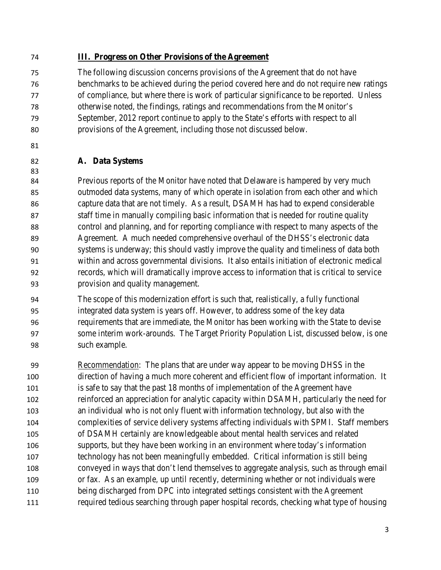#### **III. Progress on Other Provisions of the Agreement**

 The following discussion concerns provisions of the Agreement that do not have benchmarks to be achieved during the period covered here and do not require new ratings of compliance, but where there is work of particular significance to be reported. Unless otherwise noted, the findings, ratings and recommendations from the Monitor's September, 2012 report continue to apply to the State's efforts with respect to all provisions of the Agreement, including those not discussed below.

#### **A. Data Systems**

 Previous reports of the Monitor have noted that Delaware is hampered by very much outmoded data systems, many of which operate in isolation from each other and which capture data that are not timely. As a result, DSAMH has had to expend considerable staff time in manually compiling basic information that is needed for routine quality control and planning, and for reporting compliance with respect to many aspects of the Agreement. A much needed comprehensive overhaul of the DHSS's electronic data systems is underway; this should vastly improve the quality and timeliness of data both within and across governmental divisions. It also entails initiation of electronic medical records, which will dramatically improve access to information that is critical to service provision and quality management.

 The scope of this modernization effort is such that, realistically, a fully functional integrated data system is years off. However, to address some of the key data requirements that are immediate, the Monitor has been working with the State to devise some interim work-arounds. The Target Priority Population List, discussed below, is one such example.

 Recommendation: The plans that are under way appear to be moving DHSS in the direction of having a much more coherent and efficient flow of important information. It is safe to say that the past 18 months of implementation of the Agreement have reinforced an appreciation for analytic capacity within DSAMH, particularly the need for an individual who is not only fluent with information technology, but also with the complexities of service delivery systems affecting individuals with SPMI. Staff members of DSAMH certainly are knowledgeable about mental health services and related supports, but they have been working in an environment where today's information technology has not been meaningfully embedded. Critical information is still being conveyed in ways that don't lend themselves to aggregate analysis, such as through email or fax. As an example, up until recently, determining whether or not individuals were being discharged from DPC into integrated settings consistent with the Agreement required tedious searching through paper hospital records, checking what type of housing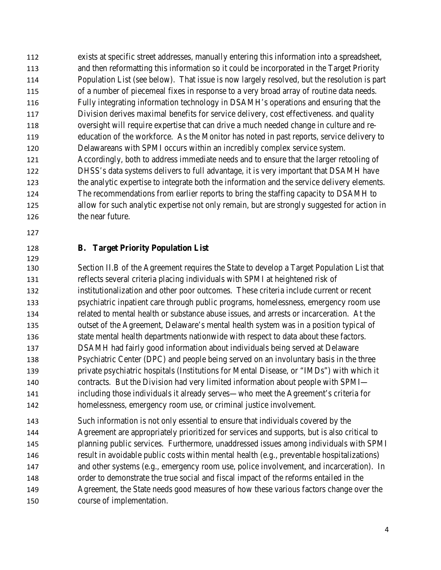exists at specific street addresses, manually entering this information into a spreadsheet, and then reformatting this information so it could be incorporated in the Target Priority Population List (see below). That issue is now largely resolved, but the resolution is part of a number of piecemeal fixes in response to a very broad array of routine data needs. Fully integrating information technology in DSAMH's operations and ensuring that the Division derives maximal benefits for service delivery, cost effectiveness. and quality oversight will require expertise that can drive a much needed change in culture and re- education of the workforce. As the Monitor has noted in past reports, service delivery to Delawareans with SPMI occurs within an incredibly complex service system. Accordingly, both to address immediate needs and to ensure that the larger retooling of DHSS's data systems delivers to full advantage, it is very important that DSAMH have the analytic expertise to integrate both the information and the service delivery elements. The recommendations from earlier reports to bring the staffing capacity to DSAMH to allow for such analytic expertise not only remain, but are strongly suggested for action in 126 the near future.

# 

### **B. Target Priority Population List**

 Section II.B of the Agreement requires the State to develop a Target Population List that reflects several criteria placing individuals with SPMI at heightened risk of institutionalization and other poor outcomes. These criteria include current or recent psychiatric inpatient care through public programs, homelessness, emergency room use related to mental health or substance abuse issues, and arrests or incarceration. At the outset of the Agreement, Delaware's mental health system was in a position typical of state mental health departments nationwide with respect to data about these factors. DSAMH had fairly good information about individuals being served at Delaware Psychiatric Center (DPC) and people being served on an involuntary basis in the three private psychiatric hospitals (Institutions for Mental Disease, or "IMDs") with which it contracts. But the Division had very limited information about people with SPMI— including those individuals it already serves—who meet the Agreement's criteria for homelessness, emergency room use, or criminal justice involvement.

 Such information is not only essential to ensure that individuals covered by the Agreement are appropriately prioritized for services and supports, but is also critical to planning public services. Furthermore, unaddressed issues among individuals with SPMI result in avoidable public costs within mental health (e.g., preventable hospitalizations) and other systems (e.g., emergency room use, police involvement, and incarceration). In order to demonstrate the true social and fiscal impact of the reforms entailed in the Agreement, the State needs good measures of how these various factors change over the course of implementation.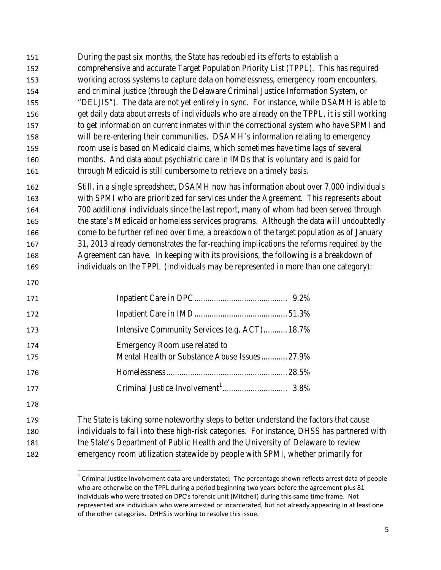- During the past six months, the State has redoubled its efforts to establish a comprehensive and accurate Target Population Priority List (TPPL). This has required working across systems to capture data on homelessness, emergency room encounters, and criminal justice (through the Delaware Criminal Justice Information System, or "DELJIS"). The data are not yet entirely in sync. For instance, while DSAMH is able to get daily data about arrests of individuals who are already on the TPPL, it is still working to get information on current inmates within the correctional system who have SPMI and will be re-entering their communities. DSAMH's information relating to emergency room use is based on Medicaid claims, which sometimes have time lags of several months. And data about psychiatric care in IMDs that is voluntary and is paid for 161 through Medicaid is still cumbersome to retrieve on a timely basis.
- Still, in a single spreadsheet, DSAMH now has information about over 7,000 individuals with SPMI who are prioritized for services under the Agreement. This represents about 700 additional individuals since the last report, many of whom had been served through the state's Medicaid or homeless services programs. Although the data will undoubtedly come to be further refined over time, a breakdown of the target population as of January 31, 2013 already demonstrates the far-reaching implications the reforms required by the Agreement can have. In keeping with its provisions, the following is a breakdown of individuals on the TPPL (individuals may be represented in more than one category):
- 

| 171 |                                               |  |
|-----|-----------------------------------------------|--|
| 172 |                                               |  |
| 173 | Intensive Community Services (e.g. ACT) 18.7% |  |
| 174 | Emergency Room use related to                 |  |
| 175 | Mental Health or Substance Abuse Issues27.9%  |  |
| 176 |                                               |  |
| 177 |                                               |  |

<span id="page-4-0"></span> The State is taking some noteworthy steps to better understand the factors that cause individuals to fall into these high-risk categories. For instance, DHSS has partnered with the State's Department of Public Health and the University of Delaware to review emergency room utilization statewide by people with SPMI, whether primarily for

 Criminal Justice Involvement data are understated. The percentage shown reflects arrest data of people who are otherwise on the TPPL during a period beginning two years before the agreement plus 81 individuals who were treated on DPC's forensic unit (Mitchell) during this same time frame. Not represented are individuals who were arrested or incarcerated, but not already appearing in at least one of the other categories. DHHS is working to resolve this issue.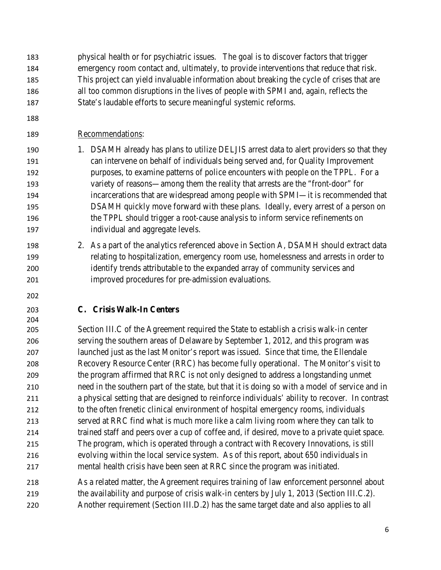- physical health or for psychiatric issues. The goal is to discover factors that trigger emergency room contact and, ultimately, to provide interventions that reduce that risk. This project can yield invaluable information about breaking the cycle of crises that are all too common disruptions in the lives of people with SPMI and, again, reflects the
- State's laudable efforts to secure meaningful systemic reforms.
- 

Recommendations:

- 190 1. DSAMH already has plans to utilize DELJIS arrest data to alert providers so that they can intervene on behalf of individuals being served and, for Quality Improvement purposes, to examine patterns of police encounters with people on the TPPL. For a variety of reasons—among them the reality that arrests are the "front-door" for incarcerations that are widespread among people with SPMI—it is recommended that DSAMH quickly move forward with these plans. Ideally, every arrest of a person on the TPPL should trigger a root-cause analysis to inform service refinements on individual and aggregate levels.
- 2. As a part of the analytics referenced above in Section A, DSAMH should extract data relating to hospitalization, emergency room use, homelessness and arrests in order to identify trends attributable to the expanded array of community services and improved procedures for pre-admission evaluations.
- 

# **C. Crisis Walk-In Centers**

 Section III.C of the Agreement required the State to establish a crisis walk-in center serving the southern areas of Delaware by September 1, 2012, and this program was launched just as the last Monitor's report was issued. Since that time, the Ellendale Recovery Resource Center (RRC) has become fully operational. The Monitor's visit to the program affirmed that RRC is not only designed to address a longstanding unmet need in the southern part of the state, but that it is doing so with a model of service and in a physical setting that are designed to reinforce individuals' ability to recover. In contrast to the often frenetic clinical environment of hospital emergency rooms, individuals served at RRC find what is much more like a calm living room where they can talk to trained staff and peers over a cup of coffee and, if desired, move to a private quiet space. The program, which is operated through a contract with Recovery Innovations, is still evolving within the local service system. As of this report, about 650 individuals in mental health crisis have been seen at RRC since the program was initiated.

- As a related matter, the Agreement requires training of law enforcement personnel about 219 the availability and purpose of crisis walk-in centers by July 1, 2013 (Section III.C.2).
- Another requirement (Section III.D.2) has the same target date and also applies to all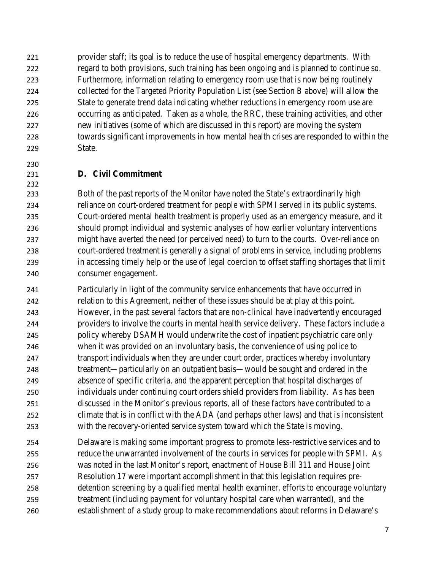provider staff; its goal is to reduce the use of hospital emergency departments. With regard to both provisions, such training has been ongoing and is planned to continue so. Furthermore, information relating to emergency room use that is now being routinely collected for the Targeted Priority Population List (see Section B above) will allow the State to generate trend data indicating whether reductions in emergency room use are occurring as anticipated. Taken as a whole, the RRC, these training activities, and other new initiatives (some of which are discussed in this report) are moving the system towards significant improvements in how mental health crises are responded to within the State.

### **D. Civil Commitment**

 Both of the past reports of the Monitor have noted the State's extraordinarily high reliance on court-ordered treatment for people with SPMI served in its public systems. Court-ordered mental health treatment is properly used as an emergency measure, and it should prompt individual and systemic analyses of how earlier voluntary interventions might have averted the need (or perceived need) to turn to the courts. Over-reliance on court-ordered treatment is generally a signal of problems in service, including problems in accessing timely help or the use of legal coercion to offset staffing shortages that limit consumer engagement.

 Particularly in light of the community service enhancements that have occurred in relation to this Agreement, neither of these issues should be at play at this point. However, in the past several factors that are *non-clinical* have inadvertently encouraged providers to involve the courts in mental health service delivery. These factors include a policy whereby DSAMH would underwrite the cost of inpatient psychiatric care only when it was provided on an involuntary basis, the convenience of using police to transport individuals when they are under court order, practices whereby involuntary treatment—particularly on an outpatient basis—would be sought and ordered in the absence of specific criteria, and the apparent perception that hospital discharges of individuals under continuing court orders shield providers from liability. As has been discussed in the Monitor's previous reports, all of these factors have contributed to a climate that is in conflict with the ADA (and perhaps other laws) and that is inconsistent with the recovery-oriented service system toward which the State is moving.

 Delaware is making some important progress to promote less-restrictive services and to reduce the unwarranted involvement of the courts in services for people with SPMI. As was noted in the last Monitor's report, enactment of House Bill 311 and House Joint Resolution 17 were important accomplishment in that this legislation requires pre- detention screening by a qualified mental health examiner, efforts to encourage voluntary treatment (including payment for voluntary hospital care when warranted), and the establishment of a study group to make recommendations about reforms in Delaware's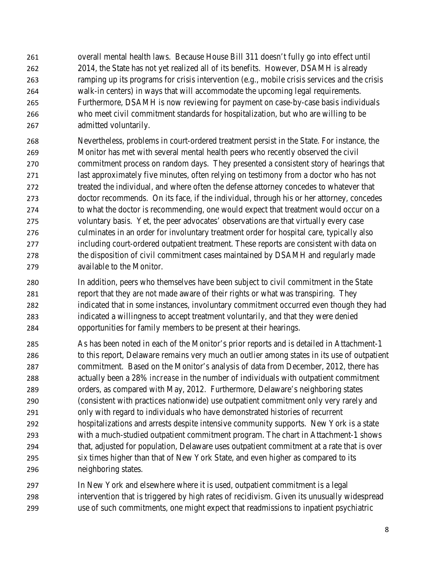overall mental health laws. Because House Bill 311 doesn't fully go into effect until 2014, the State has not yet realized all of its benefits. However, DSAMH is already ramping up its programs for crisis intervention (e.g., mobile crisis services and the crisis walk-in centers) in ways that will accommodate the upcoming legal requirements. Furthermore, DSAMH is now reviewing for payment on case-by-case basis individuals who meet civil commitment standards for hospitalization, but who are willing to be admitted voluntarily.

 Nevertheless, problems in court-ordered treatment persist in the State. For instance, the Monitor has met with several mental health peers who recently observed the civil commitment process on random days. They presented a consistent story of hearings that last approximately five minutes, often relying on testimony from a doctor who has not treated the individual, and where often the defense attorney concedes to whatever that doctor recommends. On its face, if the individual, through his or her attorney, concedes to what the doctor is recommending, one would expect that treatment would occur on a voluntary basis. Yet, the peer advocates' observations are that virtually every case culminates in an order for involuntary treatment order for hospital care, typically also including court-ordered outpatient treatment. These reports are consistent with data on the disposition of civil commitment cases maintained by DSAMH and regularly made available to the Monitor.

 In addition, peers who themselves have been subject to civil commitment in the State report that they are not made aware of their rights or what was transpiring. They indicated that in some instances, involuntary commitment occurred even though they had indicated a willingness to accept treatment voluntarily, and that they were denied opportunities for family members to be present at their hearings.

 As has been noted in each of the Monitor's prior reports and is detailed in Attachment-1 to this report, Delaware remains very much an outlier among states in its use of outpatient commitment. Based on the Monitor's analysis of data from December, 2012, there has actually been a 28% *increase* in the number of individuals with outpatient commitment orders, as compared with May, 2012. Furthermore, Delaware's neighboring states (consistent with practices nationwide) use outpatient commitment only very rarely and only with regard to individuals who have demonstrated histories of recurrent hospitalizations and arrests despite intensive community supports. New York is a state with a much-studied outpatient commitment program. The chart in Attachment-1 shows that, adjusted for population, Delaware uses outpatient commitment at a rate that is over *six* times higher than that of New York State, and even higher as compared to its neighboring states.

 In New York and elsewhere where it is used, outpatient commitment is a legal intervention that is triggered by high rates of recidivism. Given its unusually widespread use of such commitments, one might expect that readmissions to inpatient psychiatric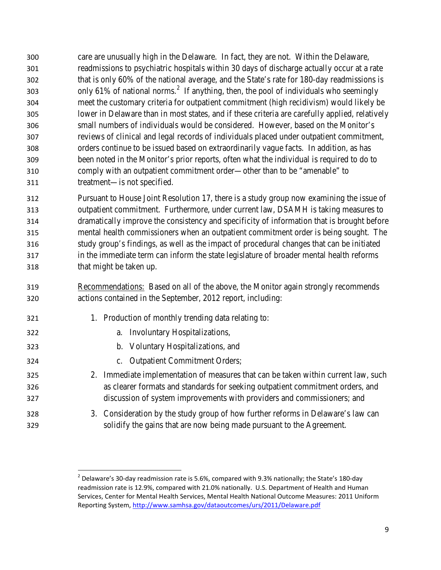care are unusually high in the Delaware. In fact, they are not. Within the Delaware, readmissions to psychiatric hospitals within 30 days of discharge actually occur at a rate that is only 60% of the national average, and the State's rate for 180-day readmissions is 303 only 61% of national norms.<sup>[2](#page-8-0)</sup> If anything, then, the pool of individuals who seemingly meet the customary criteria for outpatient commitment (high recidivism) would likely be lower in Delaware than in most states, and if these criteria are carefully applied, relatively small numbers of individuals would be considered. However, based on the Monitor's reviews of clinical and legal records of individuals placed under outpatient commitment, orders continue to be issued based on extraordinarily vague facts. In addition, as has been noted in the Monitor's prior reports, often what the individual is required to do to comply with an outpatient commitment order—other than to be "amenable" to treatment—is not specified.

 Pursuant to House Joint Resolution 17, there is a study group now examining the issue of outpatient commitment. Furthermore, under current law, DSAMH is taking measures to dramatically improve the consistency and specificity of information that is brought before mental health commissioners when an outpatient commitment order is being sought. The study group's findings, as well as the impact of procedural changes that can be initiated in the immediate term can inform the state legislature of broader mental health reforms that might be taken up.

- Recommendations: Based on all of the above, the Monitor again strongly recommends actions contained in the September, 2012 report, including:
- 321 1. Production of monthly trending data relating to:
- a. Involuntary Hospitalizations,
- b. Voluntary Hospitalizations, and
- c. Outpatient Commitment Orders;
- 2. Immediate implementation of measures that can be taken within current law, such as clearer formats and standards for seeking outpatient commitment orders, and discussion of system improvements with providers and commissioners; and
- <span id="page-8-0"></span> 3. Consideration by the study group of how further reforms in Delaware's law can solidify the gains that are now being made pursuant to the Agreement.

 $^{2}$  Delaware's 30-day readmission rate is 5.6%, compared with 9.3% nationally; the State's 180-day readmission rate is 12.9%, compared with 21.0% nationally. U.S. Department of Health and Human Services, Center for Mental Health Services, Mental Health National Outcome Measures: 2011 Uniform Reporting System,<http://www.samhsa.gov/dataoutcomes/urs/2011/Delaware.pdf>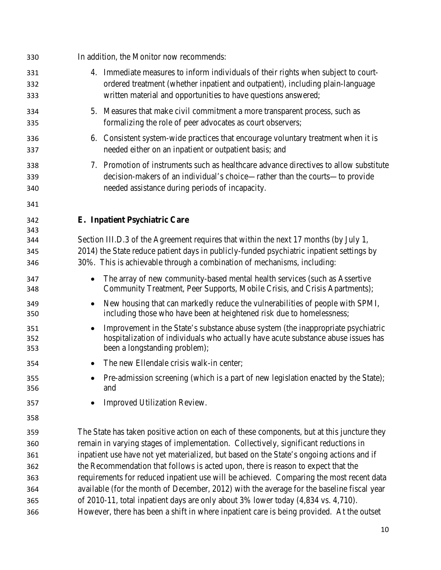| 330                      | In addition, the Monitor now recommends:                                                                                                                                                                                                                    |
|--------------------------|-------------------------------------------------------------------------------------------------------------------------------------------------------------------------------------------------------------------------------------------------------------|
| 331<br>332<br>333        | 4. Immediate measures to inform individuals of their rights when subject to court-<br>ordered treatment (whether inpatient and outpatient), including plain-language<br>written material and opportunities to have questions answered;                      |
| 334<br>335               | 5. Measures that make civil commitment a more transparent process, such as<br>formalizing the role of peer advocates as court observers;                                                                                                                    |
| 336<br>337               | 6. Consistent system-wide practices that encourage voluntary treatment when it is<br>needed either on an inpatient or outpatient basis; and                                                                                                                 |
| 338<br>339<br>340<br>341 | 7. Promotion of instruments such as healthcare advance directives to allow substitute<br>decision-makers of an individual's choice—rather than the courts—to provide<br>needed assistance during periods of incapacity.                                     |
| 342                      | E. Inpatient Psychiatric Care                                                                                                                                                                                                                               |
| 343<br>344<br>345<br>346 | Section III.D.3 of the Agreement requires that within the next 17 months (by July 1,<br>2014) the State reduce patient days in publicly-funded psychiatric inpatient settings by<br>30%. This is achievable through a combination of mechanisms, including: |
| 347<br>348               | The array of new community-based mental health services (such as Assertive<br>Community Treatment, Peer Supports, Mobile Crisis, and Crisis Apartments);                                                                                                    |
| 349<br>350               | New housing that can markedly reduce the vulnerabilities of people with SPMI,<br>including those who have been at heightened risk due to homelessness;                                                                                                      |
| 351<br>352<br>353        | Improvement in the State's substance abuse system (the inappropriate psychiatric<br>hospitalization of individuals who actually have acute substance abuse issues has<br>been a longstanding problem);                                                      |
| 354                      | The new Ellendale crisis walk-in center;                                                                                                                                                                                                                    |
| 355<br>356               | Pre-admission screening (which is a part of new legislation enacted by the State);<br>and                                                                                                                                                                   |
| 357                      | Improved Utilization Review.                                                                                                                                                                                                                                |
| 358                      |                                                                                                                                                                                                                                                             |
| 359                      | The State has taken positive action on each of these components, but at this juncture they                                                                                                                                                                  |
| 360                      | remain in varying stages of implementation. Collectively, significant reductions in                                                                                                                                                                         |
| 361                      | inpatient use have not yet materialized, but based on the State's ongoing actions and if                                                                                                                                                                    |
| 362                      | the Recommendation that follows is acted upon, there is reason to expect that the                                                                                                                                                                           |
| 363                      | requirements for reduced inpatient use will be achieved. Comparing the most recent data                                                                                                                                                                     |
| 364                      | available (for the month of December, 2012) with the average for the baseline fiscal year                                                                                                                                                                   |
| 365                      | of 2010-11, total inpatient days are only about 3% lower today (4,834 vs. 4,710).                                                                                                                                                                           |
| 366                      | However, there has been a shift in where inpatient care is being provided. At the outset                                                                                                                                                                    |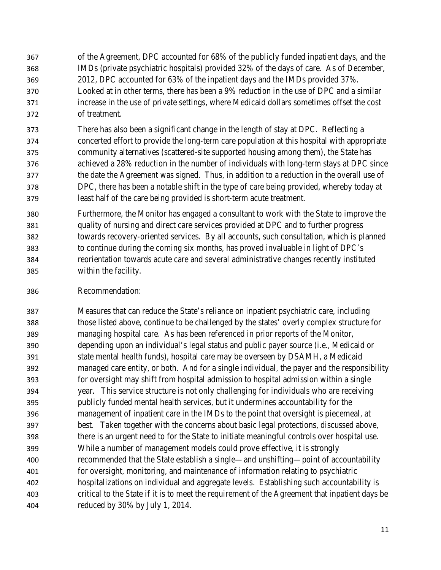of the Agreement, DPC accounted for 68% of the publicly funded inpatient days, and the IMDs (private psychiatric hospitals) provided 32% of the days of care. As of December, 2012, DPC accounted for 63% of the inpatient days and the IMDs provided 37%. Looked at in other terms, there has been a 9% reduction in the use of DPC and a similar increase in the use of private settings, where Medicaid dollars sometimes offset the cost of treatment.

 There has also been a significant change in the length of stay at DPC. Reflecting a concerted effort to provide the long-term care population at this hospital with appropriate community alternatives (scattered-site supported housing among them), the State has achieved a 28% reduction in the number of individuals with long-term stays at DPC since the date the Agreement was signed. Thus, in addition to a reduction in the overall use of DPC, there has been a notable shift in the type of care being provided, whereby today at least half of the care being provided is short-term acute treatment.

 Furthermore, the Monitor has engaged a consultant to work with the State to improve the quality of nursing and direct care services provided at DPC and to further progress towards recovery-oriented services. By all accounts, such consultation, which is planned to continue during the coming six months, has proved invaluable in light of DPC's reorientation towards acute care and several administrative changes recently instituted within the facility.

Recommendation:

 Measures that can reduce the State's reliance on inpatient psychiatric care, including those listed above, continue to be challenged by the states' overly complex structure for managing hospital care. As has been referenced in prior reports of the Monitor, depending upon an individual's legal status and public payer source (i.e., Medicaid or state mental health funds), hospital care may be overseen by DSAMH, a Medicaid managed care entity, or both. And for a single individual, the payer and the responsibility for oversight may shift from hospital admission to hospital admission within a single year. This service structure is not only challenging for individuals who are receiving publicly funded mental health services, but it undermines accountability for the management of inpatient care in the IMDs to the point that oversight is piecemeal, at best. Taken together with the concerns about basic legal protections, discussed above, there is an urgent need to for the State to initiate meaningful controls over hospital use. While a number of management models could prove effective, it is strongly recommended that the State establish a single—and unshifting—point of accountability for oversight, monitoring, and maintenance of information relating to psychiatric hospitalizations on individual and aggregate levels. Establishing such accountability is critical to the State if it is to meet the requirement of the Agreement that inpatient days be reduced by 30% by July 1, 2014.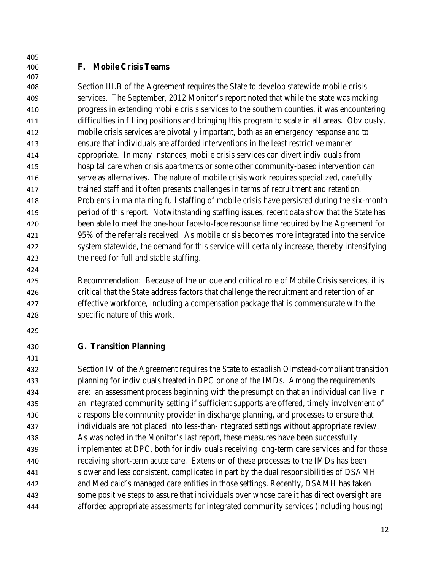### **F. Mobile Crisis Teams**

 Section III.B of the Agreement requires the State to develop statewide mobile crisis services. The September, 2012 Monitor's report noted that while the state was making progress in extending mobile crisis services to the southern counties, it was encountering difficulties in filling positions and bringing this program to scale in all areas. Obviously, mobile crisis services are pivotally important, both as an emergency response and to ensure that individuals are afforded interventions in the least restrictive manner appropriate. In many instances, mobile crisis services can divert individuals from hospital care when crisis apartments or some other community-based intervention can serve as alternatives. The nature of mobile crisis work requires specialized, carefully trained staff and it often presents challenges in terms of recruitment and retention. Problems in maintaining full staffing of mobile crisis have persisted during the six-month period of this report. Notwithstanding staffing issues, recent data show that the State has been able to meet the one-hour face-to-face response time required by the Agreement for 95% of the referrals received. As mobile crisis becomes more integrated into the service system statewide, the demand for this service will certainly increase, thereby intensifying the need for full and stable staffing.

 Recommendation: Because of the unique and critical role of Mobile Crisis services, it is critical that the State address factors that challenge the recruitment and retention of an effective workforce, including a compensation package that is commensurate with the specific nature of this work.

**G. Transition Planning**

 Section IV of the Agreement requires the State to establish *Olmstead-*compliant transition planning for individuals treated in DPC or one of the IMDs. Among the requirements are: an assessment process beginning with the presumption that an individual can live in an integrated community setting if sufficient supports are offered, timely involvement of a responsible community provider in discharge planning, and processes to ensure that individuals are not placed into less-than-integrated settings without appropriate review. As was noted in the Monitor's last report, these measures have been successfully implemented at DPC, both for individuals receiving long-term care services and for those receiving short-term acute care. Extension of these processes to the IMDs has been slower and less consistent, complicated in part by the dual responsibilities of DSAMH and Medicaid's managed care entities in those settings. Recently, DSAMH has taken some positive steps to assure that individuals over whose care it has direct oversight are afforded appropriate assessments for integrated community services (including housing)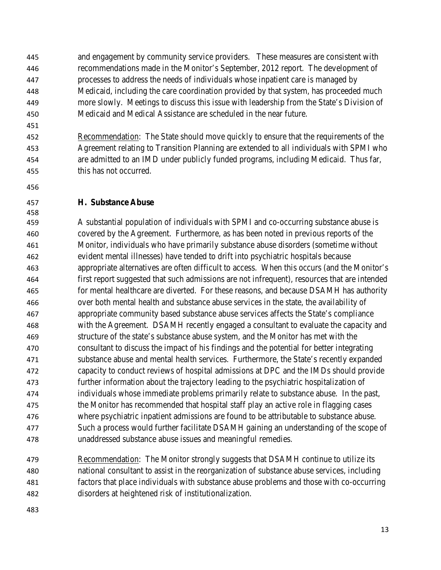and engagement by community service providers. These measures are consistent with recommendations made in the Monitor's September, 2012 report. The development of processes to address the needs of individuals whose inpatient care is managed by Medicaid, including the care coordination provided by that system, has proceeded much more slowly. Meetings to discuss this issue with leadership from the State's Division of Medicaid and Medical Assistance are scheduled in the near future.

 Recommendation: The State should move quickly to ensure that the requirements of the Agreement relating to Transition Planning are extended to all individuals with SPMI who are admitted to an IMD under publicly funded programs, including Medicaid. Thus far, this has not occurred.

#### **H. Substance Abuse**

 A substantial population of individuals with SPMI and co-occurring substance abuse is covered by the Agreement. Furthermore, as has been noted in previous reports of the Monitor, individuals who have primarily substance abuse disorders (sometime without evident mental illnesses) have tended to drift into psychiatric hospitals because appropriate alternatives are often difficult to access. When this occurs (and the Monitor's first report suggested that such admissions are not infrequent), resources that are intended for mental healthcare are diverted. For these reasons, and because DSAMH has authority over both mental health and substance abuse services in the state, the availability of appropriate community based substance abuse services affects the State's compliance with the Agreement. DSAMH recently engaged a consultant to evaluate the capacity and structure of the state's substance abuse system, and the Monitor has met with the consultant to discuss the impact of his findings and the potential for better integrating substance abuse and mental health services. Furthermore, the State's recently expanded capacity to conduct reviews of hospital admissions at DPC and the IMDs should provide further information about the trajectory leading to the psychiatric hospitalization of individuals whose immediate problems primarily relate to substance abuse. In the past, the Monitor has recommended that hospital staff play an active role in flagging cases where psychiatric inpatient admissions are found to be attributable to substance abuse. Such a process would further facilitate DSAMH gaining an understanding of the scope of unaddressed substance abuse issues and meaningful remedies.

 Recommendation: The Monitor strongly suggests that DSAMH continue to utilize its national consultant to assist in the reorganization of substance abuse services, including factors that place individuals with substance abuse problems and those with co-occurring disorders at heightened risk of institutionalization.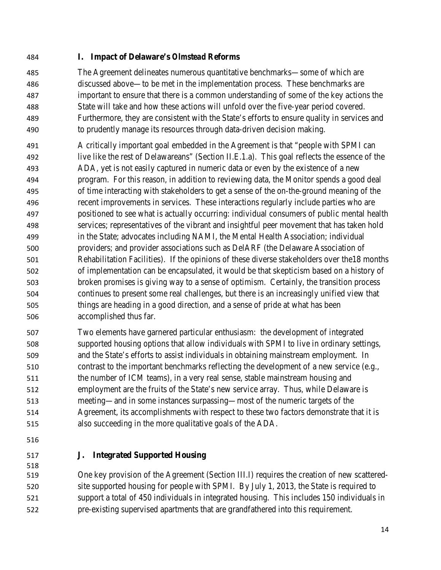**I. Impact of Delaware's** *Olmstead* **Reforms**

 The Agreement delineates numerous quantitative benchmarks—some of which are discussed above—to be met in the implementation process. These benchmarks are important to ensure that there is a common understanding of some of the key actions the State will take and how these actions will unfold over the five-year period covered. Furthermore, they are consistent with the State's efforts to ensure quality in services and to prudently manage its resources through data-driven decision making.

- A critically important goal embedded in the Agreement is that "people with SPMI can live like the rest of Delawareans" (Section II.E.1.a). This goal reflects the essence of the ADA, yet is not easily captured in numeric data or even by the existence of a new program. For this reason, in addition to reviewing data, the Monitor spends a good deal of time interacting with stakeholders to get a sense of the on-the-ground meaning of the recent improvements in services. These interactions regularly include parties who are positioned to see what is actually occurring: individual consumers of public mental health services; representatives of the vibrant and insightful peer movement that has taken hold in the State; advocates including NAMI, the Mental Health Association; individual providers; and provider associations such as DelARF (the Delaware Association of Rehabilitation Facilities). If the opinions of these diverse stakeholders over the18 months of implementation can be encapsulated, it would be that skepticism based on a history of broken promises is giving way to a sense of optimism. Certainly, the transition process continues to present some real challenges, but there is an increasingly unified view that things are heading in a good direction, and a sense of pride at what has been accomplished thus far.
- Two elements have garnered particular enthusiasm: the development of integrated supported housing options that allow individuals with SPMI to live in ordinary settings, and the State's efforts to assist individuals in obtaining mainstream employment. In contrast to the important benchmarks reflecting the development of a new service (e.g., the number of ICM teams), in a very real sense, stable mainstream housing and employment are the fruits of the State's new service array. Thus, while Delaware is meeting—and in some instances surpassing—most of the numeric targets of the Agreement, its accomplishments with respect to these two factors demonstrate that it is also succeeding in the more qualitative goals of the ADA.
- 
- 

# **J. Integrated Supported Housing**

 One key provision of the Agreement (Section III.I) requires the creation of new scattered-520 site supported housing for people with SPMI. By July 1, 2013, the State is required to support a total of 450 individuals in integrated housing. This includes 150 individuals in pre-existing supervised apartments that are grandfathered into this requirement.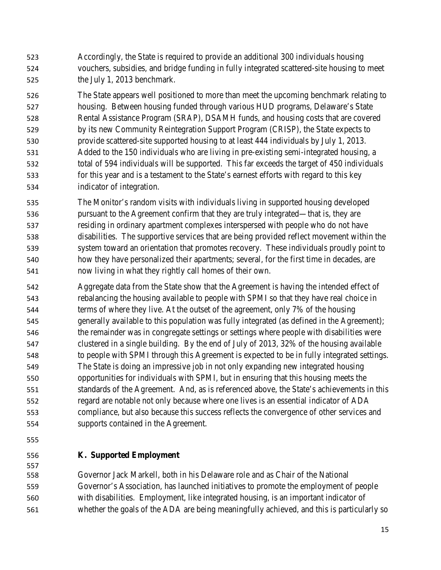Accordingly, the State is required to provide an additional 300 individuals housing vouchers, subsidies, and bridge funding in fully integrated scattered-site housing to meet the July 1, 2013 benchmark.

 The State appears well positioned to more than meet the upcoming benchmark relating to housing. Between housing funded through various HUD programs, Delaware's State Rental Assistance Program (SRAP), DSAMH funds, and housing costs that are covered by its new Community Reintegration Support Program (CRISP), the State expects to provide scattered-site supported housing to at least 444 individuals by July 1, 2013. Added to the 150 individuals who are living in pre-existing semi-integrated housing, a total of 594 individuals will be supported. This far exceeds the target of 450 individuals for this year and is a testament to the State's earnest efforts with regard to this key indicator of integration.

 The Monitor's random visits with individuals living in supported housing developed pursuant to the Agreement confirm that they are truly integrated—that is, they are residing in ordinary apartment complexes interspersed with people who do not have disabilities. The supportive services that are being provided reflect movement within the system toward an orientation that promotes recovery. These individuals proudly point to how they have personalized their apartments; several, for the first time in decades, are now living in what they rightly call homes of their own.

 Aggregate data from the State show that the Agreement is having the intended effect of rebalancing the housing available to people with SPMI so that they have real choice in terms of where they live. At the outset of the agreement, only 7% of the housing generally available to this population was fully integrated (as defined in the Agreement); the remainder was in congregate settings or settings where people with disabilities were clustered in a single building. By the end of July of 2013, 32% of the housing available to people with SPMI through this Agreement is expected to be in fully integrated settings. The State is doing an impressive job in not only expanding new integrated housing opportunities for individuals with SPMI, but in ensuring that this housing meets the standards of the Agreement. And, as is referenced above, the State's achievements in this regard are notable not only because where one lives is an essential indicator of ADA compliance, but also because this success reflects the convergence of other services and supports contained in the Agreement.

## **K. Supported Employment**

 Governor Jack Markell, both in his Delaware role and as Chair of the National Governor's Association, has launched initiatives to promote the employment of people with disabilities. Employment, like integrated housing, is an important indicator of whether the goals of the ADA are being meaningfully achieved, and this is particularly so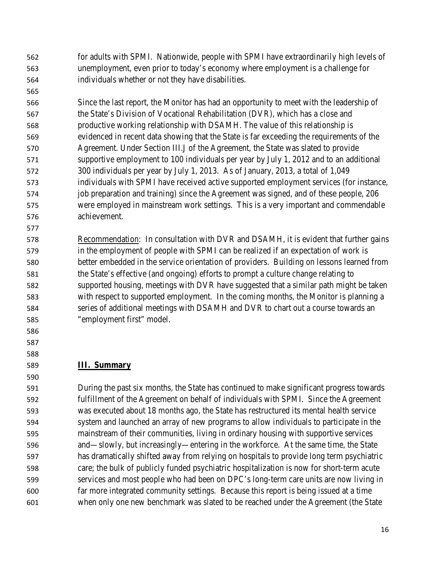for adults with SPMI. Nationwide, people with SPMI have extraordinarily high levels of unemployment, even prior to today's economy where employment is a challenge for individuals whether or not they have disabilities.

 Since the last report, the Monitor has had an opportunity to meet with the leadership of the State's Division of Vocational Rehabilitation (DVR), which has a close and productive working relationship with DSAMH. The value of this relationship is evidenced in recent data showing that the State is far exceeding the requirements of the Agreement. Under Section III.J of the Agreement, the State was slated to provide supportive employment to 100 individuals per year by July 1, 2012 and to an additional 300 individuals per year by July 1, 2013. As of January, 2013, a total of 1,049 individuals with SPMI have received active supported employment services (for instance, job preparation and training) since the Agreement was signed, and of these people, 206 were employed in mainstream work settings. This is a very important and commendable achievement.

 Recommendation: In consultation with DVR and DSAMH, it is evident that further gains in the employment of people with SPMI can be realized if an expectation of work is better embedded in the service orientation of providers. Building on lessons learned from the State's effective (and ongoing) efforts to prompt a culture change relating to supported housing, meetings with DVR have suggested that a similar path might be taken with respect to supported employment. In the coming months, the Monitor is planning a series of additional meetings with DSAMH and DVR to chart out a course towards an "employment first" model.

## **III. Summary**

 

 During the past six months, the State has continued to make significant progress towards fulfillment of the Agreement on behalf of individuals with SPMI. Since the Agreement was executed about 18 months ago, the State has restructured its mental health service system and launched an array of new programs to allow individuals to participate in the mainstream of their communities, living in ordinary housing with supportive services and—slowly, but increasingly—entering in the workforce. At the same time, the State has dramatically shifted away from relying on hospitals to provide long term psychiatric care; the bulk of publicly funded psychiatric hospitalization is now for short-term acute services and most people who had been on DPC's long-term care units are now living in far more integrated community settings. Because this report is being issued at a time when only one new benchmark was slated to be reached under the Agreement (the State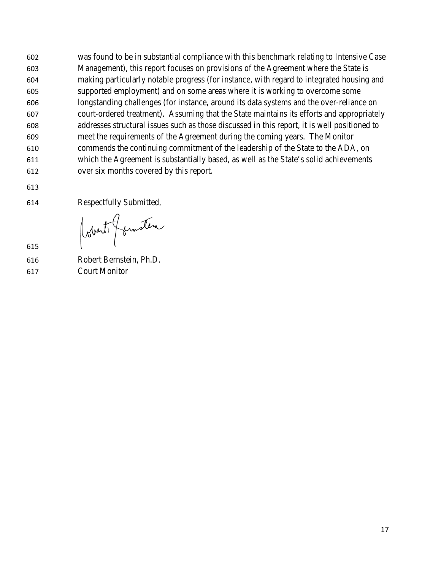was found to be in substantial compliance with this benchmark relating to Intensive Case Management), this report focuses on provisions of the Agreement where the State is making particularly notable progress (for instance, with regard to integrated housing and supported employment) and on some areas where it is working to overcome some longstanding challenges (for instance, around its data systems and the over-reliance on court-ordered treatment). Assuming that the State maintains its efforts and appropriately addresses structural issues such as those discussed in this report, it is well positioned to meet the requirements of the Agreement during the coming years. The Monitor commends the continuing commitment of the leadership of the State to the ADA, on which the Agreement is substantially based, as well as the State's solid achievements over six months covered by this report.

Respectfully Submitted,

(obert formation

- 
- Robert Bernstein, Ph.D. Court Monitor